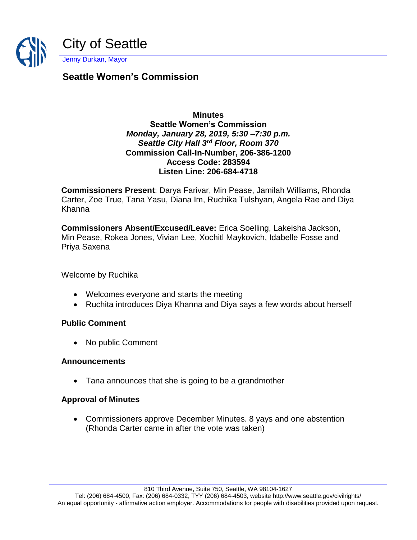

# **Seattle Women's Commission**

#### **Minutes Seattle Women's Commission** *Monday, January 28, 2019, 5:30 –7:30 p.m. Seattle City Hall 3rd Floor, Room 370* **Commission Call-In-Number, 206-386-1200 Access Code: 283594 Listen Line: 206-684-4718**

**Commissioners Present**: Darya Farivar, Min Pease, Jamilah Williams, Rhonda Carter, Zoe True, Tana Yasu, Diana Im, Ruchika Tulshyan, Angela Rae and Diya Khanna

**Commissioners Absent/Excused/Leave:** Erica Soelling, Lakeisha Jackson, Min Pease, Rokea Jones, Vivian Lee, Xochitl Maykovich, Idabelle Fosse and Priya Saxena

Welcome by Ruchika

- Welcomes everyone and starts the meeting
- Ruchita introduces Diya Khanna and Diya says a few words about herself

#### **Public Comment**

• No public Comment

#### **Announcements**

• Tana announces that she is going to be a grandmother

#### **Approval of Minutes**

• Commissioners approve December Minutes. 8 yays and one abstention (Rhonda Carter came in after the vote was taken)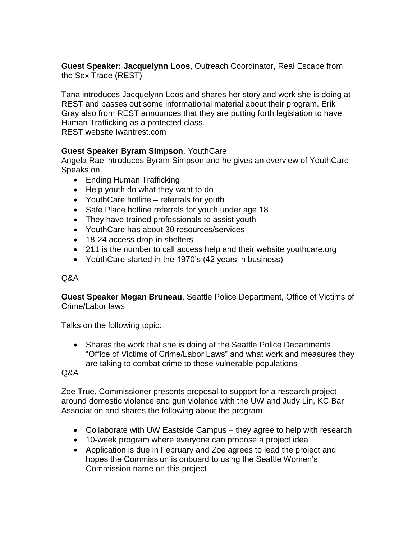**Guest Speaker: Jacquelynn Loos**, Outreach Coordinator, Real Escape from the Sex Trade (REST)

Tana introduces Jacquelynn Loos and shares her story and work she is doing at REST and passes out some informational material about their program. Erik Gray also from REST announces that they are putting forth legislation to have Human Trafficking as a protected class.

REST website Iwantrest.com

## **Guest Speaker Byram Simpson**, YouthCare

Angela Rae introduces Byram Simpson and he gives an overview of YouthCare Speaks on

- Ending Human Trafficking
- Help youth do what they want to do
- YouthCare hotline referrals for youth
- Safe Place hotline referrals for youth under age 18
- They have trained professionals to assist youth
- YouthCare has about 30 resources/services
- 18-24 access drop-in shelters
- 211 is the number to call access help and their website youthcare.org
- YouthCare started in the 1970's (42 years in business)

#### Q&A

**Guest Speaker Megan Bruneau**, Seattle Police Department, Office of Victims of Crime/Labor laws

Talks on the following topic:

• Shares the work that she is doing at the Seattle Police Departments "Office of Victims of Crime/Labor Laws" and what work and measures they are taking to combat crime to these vulnerable populations

Q&A

Zoe True, Commissioner presents proposal to support for a research project around domestic violence and gun violence with the UW and Judy Lin, KC Bar Association and shares the following about the program

- Collaborate with UW Eastside Campus they agree to help with research
- 10-week program where everyone can propose a project idea
- Application is due in February and Zoe agrees to lead the project and hopes the Commission is onboard to using the Seattle Women's Commission name on this project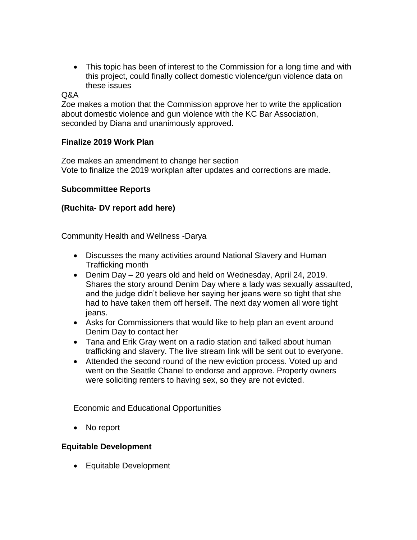• This topic has been of interest to the Commission for a long time and with this project, could finally collect domestic violence/gun violence data on these issues

#### $\triangle A$

Zoe makes a motion that the Commission approve her to write the application about domestic violence and gun violence with the KC Bar Association, seconded by Diana and unanimously approved.

#### **Finalize 2019 Work Plan**

Zoe makes an amendment to change her section Vote to finalize the 2019 workplan after updates and corrections are made.

#### **Subcommittee Reports**

## **(Ruchita- DV report add here)**

Community Health and Wellness -Darya

- Discusses the many activities around National Slavery and Human Trafficking month
- Denim Day 20 years old and held on Wednesday, April 24, 2019. Shares the story around Denim Day where a lady was sexually assaulted, and the judge didn't believe her saying her jeans were so tight that she had to have taken them off herself. The next day women all wore tight jeans.
- Asks for Commissioners that would like to help plan an event around Denim Day to contact her
- Tana and Erik Gray went on a radio station and talked about human trafficking and slavery. The live stream link will be sent out to everyone.
- Attended the second round of the new eviction process. Voted up and went on the Seattle Chanel to endorse and approve. Property owners were soliciting renters to having sex, so they are not evicted.

Economic and Educational Opportunities

• No report

#### **Equitable Development**

• Equitable Development